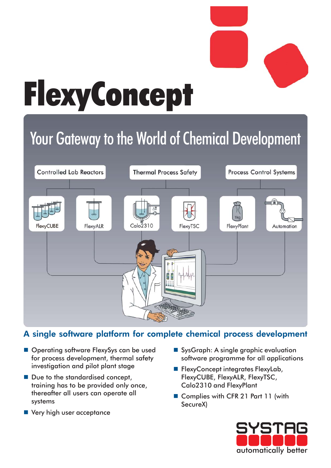

# FlexyConcept

## Your Gateway to the World of Chemical Development



## A single software platform for complete chemical process development

- Operating software FlexySys can be used for process development, thermal safety investigation and pilot plant stage
- Due to the standardised concept, training has to be provided only once, thereafter all users can operate all systems
- **Very high user acceptance**
- SysGraph: A single graphic evaluation software programme for all applications
- **FlexyConcept integrates FlexyLab,** FlexyCUBE, FlexyALR, FlexyTSC, Calo2310 and FlexyPlant
- Complies with CFR 21 Part 11 (with SecureX)

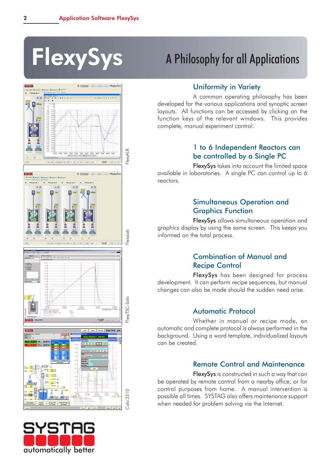



## FlexySys A Philosophy for all Applications

### Uniformity in Variety

A common operating philosophy has been developed for the various applications and synoptic screen layouts. All functions can be accessed by clicking on the function keys of the relevant windows. This provides complete, manual experiment control.

#### 1 to 6 Independent Reactors can be controlled by a Single PC

FlexySys takes into account the limited space available in laboratories. A single PC can control up to 6 reactors.

#### Simultaneous Operation and Graphics Function

FlexySys allows simultaneous operation and graphics display by using the same screen. This keeps you informed on the total process.

#### Combination of Manual and Recipe Control

FlexySys has been designed for process development. It can perform recipe sequences, but manual changes can also be made should the sudden need arise.

### Automatic Protocol

Whether in manual or recipe mode, an automatic and complete protocol is always performed in the background. Using a word template, individualized layouts can be created.

#### Remote Control and Maintenance

FlexySys is constructed in such a way that can be operated by remote control from a nearby office, or for control purposes from home. A manual intervention is possible all times. SYSTAG also offers maintenance support when needed for problem solving via the Internet.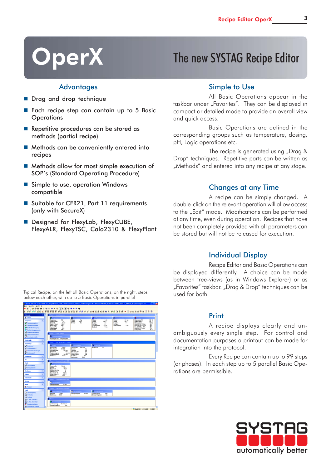## OperX The new SYSTAG Recipe Editor

#### **Advantages**

- **Drag and drop technique**
- Each recipe step can contain up to 5 Basic **Operations**
- Repetitive procedures can be stored as methods (partial recipe)
- Methods can be conveniently entered into recipes
- Methods allow for most simple execution of SOP's (Standard Operating Procedure)
- Simple to use, operation Windows compatible
- Suitable for CFR21, Part 11 requirements (only with SecureX)

Typical Recipe: on the left all Basic Operations, on the right, steps below each other, with up to 5 Basic Operations in parallel

■ Designed for FlexyLab, FlexyCUBE, FlexyALR, FlexyTSC, Calo2310 & FlexyPlant

#### Simple to Use

All Basic Operations appear in the taskbar under "Favorites". They can be displayed in compact or detailed mode to provide an overall view and quick access.

Basic Operations are defined in the corresponding groups such as temperature, dosing, pH, Logic operations etc.

The recipe is generated using  $nD \nlog \delta$ Drop" techniques. Repetitive parts can be written as "Methods" and entered into any recipe at any stage.

#### Changes at any Time

A recipe can be simply changed. A double-click on the relevant operation will allow access to the "Edit" mode. Modifications can be performed at any time, even during operation. Recipes that have not been completely provided with all parameters can be stored but will not be released for execution.

#### Individual Display

Recipe Editor and Basic Operations can be displayed differently. A choice can be made between tree-views (as in Windows Explorer) or as "Favorites" taskbar. "Drag & Drop" techniques can be used for both.

| <b>Eater Evariation Angelet</b>                                            |  |                                                                                                                                                                                                                             |                                                              |
|----------------------------------------------------------------------------|--|-----------------------------------------------------------------------------------------------------------------------------------------------------------------------------------------------------------------------------|--------------------------------------------------------------|
|                                                                            |  | . Desere in px sere ex e                                                                                                                                                                                                    |                                                              |
|                                                                            |  |                                                                                                                                                                                                                             |                                                              |
| <b>Alignment</b>                                                           |  |                                                                                                                                                                                                                             |                                                              |
| \$m <sub>0</sub>                                                           |  | <b>Jackson</b><br>of commercial<br>u                                                                                                                                                                                        | ٠                                                            |
| ٠<br>Temporate                                                             |  | $\overline{78}$<br><b>F&amp;wd</b><br>P-Eard<br><b>Registrate</b><br>Féard<br>PO <sub>1</sub><br>01 tw<br>1.48<br><b>Stakeholder</b><br><b>Linked</b><br>an i<br><b>Identify</b><br>1000 +<br><b>Links</b><br>$100 +$<br>18 | <b>Steelings 19</b><br>倒て<br>Diese Linda 11<br><b>WE T</b>   |
| <b>11</b> Temperaturegaking                                                |  | <b>Di Annue</b><br>5 Annual<br>5 Annual<br>5 min<br>$\alpha$<br>Zaitund<br>3<br>01<br>Marke P-Band<br><b>YSEK</b><br>M. Fador<br>9,640                                                                                      | <b>Diseas Limite in</b><br><b>Mile</b><br>Max DVI T/N - FTOW |
| <b>L<sup>t</sup></b> Teleparatupananana<br><b>By Died to Decisionships</b> |  | Master LiPart<br><b>Stabilizione</b><br>85 plf.<br>1.2 km<br>un .<br><b>Tubety Venting</b><br>Marker C. Part<br>Zeitund<br>5 min.<br>淼                                                                                      | 確定<br><b>Ne Oil TTry TTDat</b><br>Nex Out TJSur - TTTm<br>鼓  |
| <b>PF</b> Darksbeinzorpauseke                                              |  | Stare P-Band<br><b>Slave 1Pad</b><br>492.4                                                                                                                                                                                  | Max Dat FR - Futbur<br>加工<br><b>Saleis Terra</b>             |
| Adidation Fegating                                                         |  | <b>TAAN</b>                                                                                                                                                                                                                 |                                                              |
| <b>LE Adolesiado Constitu</b>                                              |  |                                                                                                                                                                                                                             |                                                              |
| P Treatmorphile                                                            |  | Angersider Text Vinlagenougalist                                                                                                                                                                                            |                                                              |
| <b>Designation</b><br>×                                                    |  |                                                                                                                                                                                                                             |                                                              |
| л<br><b>Designated</b>                                                     |  | Colored Baltimore (2001) Primate and                                                                                                                                                                                        |                                                              |
| <b>SA Scoring!</b>                                                         |  | a4<br>м<br>Eshiescan<br><b>Range</b><br>Stevenodus<br>Se.<br><b>B.Jvamobin</b><br><b>Yest Fact</b>                                                                                                                          |                                                              |
| <b>St.</b> Scriegenmeist 1                                                 |  | <b>R.Junimesk</b><br>40.300<br>Endmort<br><b>law</b><br><b>Instructional</b><br>500 cm<br>Zohbasen<br>min                                                                                                                   |                                                              |
| P. StakinsenDolerand<br><b>M</b> Dolemane 1                                |  | <b><i><u>Rangerous</u></i></b><br>R.M menn do 1<br>2 mm<br>be<br>Down Lindays<br>Rangeministry<br>con/net<br>hm                                                                                                             |                                                              |
| v<br><b>Business</b> 2                                                     |  | <b>Scherheitsbehru</b><br>100 cm<br><b>InterLinked</b><br>be<br><b>Backwood</b><br>88<br><b>Back</b><br><b>Duckley</b>                                                                                                      |                                                              |
|                                                                            |  | <b>Eddwards</b><br><b>Ball</b>                                                                                                                                                                                              |                                                              |
| ٠<br>yK.                                                                   |  | uce 4 Temporalistand 7 40°C                                                                                                                                                                                                 |                                                              |
| ٠<br><b>Dout</b>                                                           |  | <b>Tenor in Figure</b>                                                                                                                                                                                                      |                                                              |
| a <sup>4</sup> Indirading<br>o <sup>8</sup> Europeaneer                    |  | Stevensche<br>Mantel<br>40 °C<br>Endmant                                                                                                                                                                                    |                                                              |
|                                                                            |  | 75 mm<br>Renomnant<br><b>Difference Add Sales</b><br>$\epsilon$                                                                                                                                                             |                                                              |
| <b>Distances</b><br>۰                                                      |  | <b>Silverence TV-FJ</b><br>Discolaute 19<br>TRO TO                                                                                                                                                                          |                                                              |
| ×<br><b>Fishers</b>                                                        |  | <b>Bress Links TR</b><br>100 Y<br><b>Backmodul</b><br>Back.                                                                                                                                                                 |                                                              |
| v<br>Esteriora                                                             |  |                                                                                                                                                                                                                             |                                                              |
| ٠<br><b>System</b>                                                         |  | domestic 19 day                                                                                                                                                                                                             |                                                              |
| ٠<br><b>Alberta</b>                                                        |  | G<br>75 mm<br>Veuignungued                                                                                                                                                                                                  |                                                              |
| A. Solden                                                                  |  |                                                                                                                                                                                                                             |                                                              |
| ٠<br>Look                                                                  |  | in and Skaldingh                                                                                                                                                                                                            |                                                              |
| <b>C</b> Zehertomiro                                                       |  | o.<br>Rochuer<br>1300 +<br>40 min<br>Versigeungssel<br>to Beachmang                                                                                                                                                         |                                                              |
| <b>411 Waterior</b>                                                        |  | P <sub>2</sub><br><b>Exchoods</b><br><b>Back</b><br><b>Energie Integration</b>                                                                                                                                              |                                                              |
| <b>CI Intimie</b><br><b>All it Than Energy 12</b>                          |  |                                                                                                                                                                                                                             |                                                              |
| 12 E. Floor, Disn of 480                                                   |  |                                                                                                                                                                                                                             |                                                              |
| <sup>4</sup> Expressed arbakes                                             |  | <b>Graddessen</b><br>to Emminues                                                                                                                                                                                            |                                                              |
| <b>B</b> Administration                                                    |  | Energie Integration<br>Aug.                                                                                                                                                                                                 |                                                              |
|                                                                            |  |                                                                                                                                                                                                                             | R CALIFORNIA PLASSING RESERVE                                |

#### Print

A recipe displays clearly and unambiguously every single step. For control and documentation purposes a printout can be made for integration into the protocol.

Every Recipe can contain up to 99 steps (or phases). In each step up to 5 parallel Basic Operations are permissible.